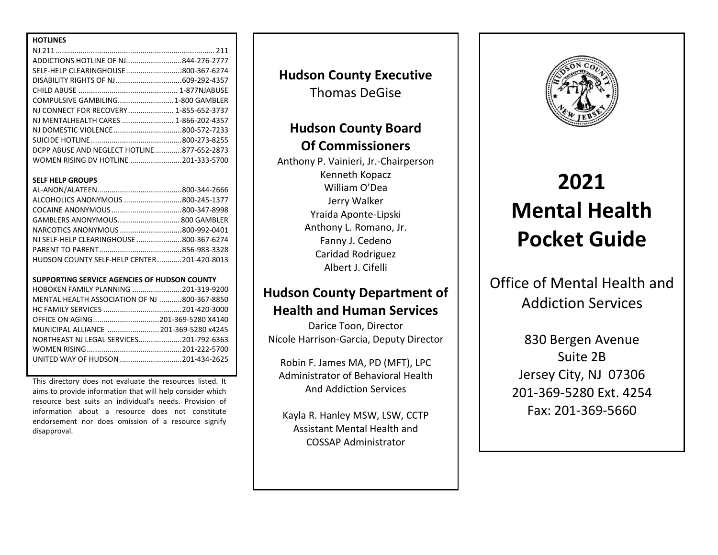| <b>HOTLINES</b>                            |  |
|--------------------------------------------|--|
|                                            |  |
| ADDICTIONS HOTLINE OF NJ844-276-2777       |  |
| SELF-HELP CLEARINGHOUSE800-367-6274        |  |
|                                            |  |
|                                            |  |
| COMPULSIVE GAMBILING 1-800 GAMBLER         |  |
| NJ CONNECT FOR RECOVERY 1-855-652-3737     |  |
| NJ MENTALHEALTH CARES  1-866-202-4357      |  |
|                                            |  |
|                                            |  |
| DCPP ABUSE AND NEGLECT HOTLINE877-652-2873 |  |
| WOMEN RISING DV HOTLINE 201-333-5700       |  |

### **SELF HELP GROUPS**

| ALCOHOLICS ANONYMOUS 800-245-1377          |  |
|--------------------------------------------|--|
|                                            |  |
| GAMBLERS ANONYMOUS 800 GAMBLER             |  |
| NARCOTICS ANONYMOUS 800-992-0401           |  |
| NJ SELF-HELP CLEARINGHOUSE 800-367-6274    |  |
|                                            |  |
| HUDSON COUNTY SELF-HELP CENTER201-420-8013 |  |

#### **SUPPORTING SERVICE AGENCIES OF HUDSON COUNTY**

| MENTAL HEALTH ASSOCIATION OF NJ 800-367-8850 |
|----------------------------------------------|
|                                              |
|                                              |
| MUNICIPAL ALLIANCE  201-369-5280 x4245       |
| NORTHEAST NJ LEGAL SERVICES201-792-6363      |
|                                              |
| UNITED WAY OF HUDSON 201-434-2625            |
|                                              |

This directory does not evaluate the resources listed. It aims to provide information that will help consider which resource best suits an individual's needs. Provision of information about a resource does not constitute endorsement nor does omission of a resource signify disapproval.

**Hudson County Executive** Thomas DeGise

## **Hudson County Board Of Commissioners**

Anthony P. Vainieri, Jr.-Chairperson Kenneth Kopacz William O'Dea Jerry Walker Yraida Aponte-Lipski Anthony L. Romano, Jr. Fanny J. Cedeno Caridad Rodriguez Albert J. Cifelli

## **Hudson County Department of Health and Human Services**

Darice Toon, Director Nicole Harrison-Garcia, Deputy Director

Robin F. James MA, PD (MFT), LPC Administrator of Behavioral Health And Addiction Services

Kayla R. Hanley MSW, LSW, CCTP Assistant Mental Health and COSSAP Administrator



# **2021 Mental Health Pocket Guide**

Office of Mental Health and Addiction Services

> 830 Bergen Avenue Suite 2B Jersey City, NJ 07306 201-369-5280 Ext. 4254 Fax: 201-369-5660